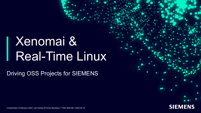## Xenomai & Real-Time Linux

Driving OSS Projects for SIEMENS



Unrestricted | © Siemens 2022 | Jan Kiszka & Florian Bezdeka | T CED SES-DE | 2022-05-18

ı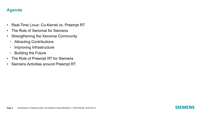#### **Agenda**

- Real-Time Linux: Co-Kernel vs. Preempt RT
- The Role of Xenomai for Siemens
- Strengthening the Xenomai Community
	- Attracting Contributions
	- Improving Infrastructure
	- Building the Future
- The Role of Preempt RT for Siemens
- Siemens Activities around Preempt RT

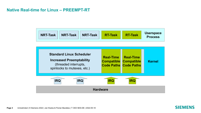#### **Native Real-time for Linux – PREEMPT-RT**

| <b>Process</b> |
|----------------|
|----------------|



**Page 3** Unrestricted | © Siemens 2022 | Jan Kiszka & Florian Bezdeka | T CED SES-DE | 2022-05-18

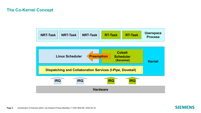#### **The Co-Kernel Concept**

| NRT-Task<br>$NRT-Task$<br><b>NRT-Task</b><br><b>RT-Task</b><br><b>RT-Task</b><br><b>Process</b> |  | <b>Userspace</b> |
|-------------------------------------------------------------------------------------------------|--|------------------|
|-------------------------------------------------------------------------------------------------|--|------------------|



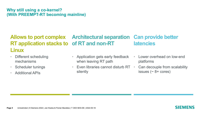#### **Why still using a co-kernel? (With PREEMPT-RT becoming mainline)**

#### **Allows to port complex RT application stacks to of RT and non-RT Linux Architectural separation Can provide better latencies**

- Different scheduling mechanisms
- Scheduler tunings
- Additional APIs
- Application gets early feedback when leaving RT path
- Even libraries cannot disturb RT silently
- Lower overhead on low-end platforms
- Can decouple from scalability issues  $($   $\sim$  8+ cores)

SIEMENS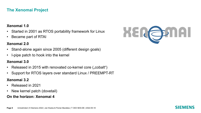#### **The Xenomai Project**

#### **Xenomai 1.0**

- Started in 2001 as RTOS portability framework for Linux
- Became part of RTAI

#### **Xenomai 2.0**

- Stand-alone again since 2005 (different design goals)
- I-pipe patch to hook into the kernel

#### **Xenomai 3.0**

- Released in 2015 with renovated co-kernel core ("cobalt")
- Support for RTOS layers over standard Linux / PREEMPT-RT

#### **Xenomai 3.2**

- Released in 2021
- New kernel patch (dovetail)

#### **On the horizon: Xenomai 4**



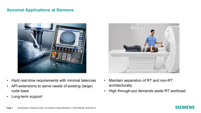#### **Xenomai Applications at Siemens**



- Hard real-time requirements with minimal latencies
- API-extensions to serve needs of existing (large) code base
- Long-term support



- Maintain separation of RT and non-RT architecturally
- High through-put demands aside RT workload

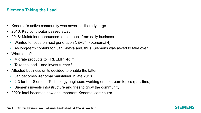#### **Siemens Taking the Lead**

- Xenomai's active community was never particularly large
- 2016: Key contributor passed away
- 2018: Maintainer announced to step back from daily business
	- Wanted to focus on next generation ("EVL" -> Xenomai 4)
	- As long-term contributor, Jan Kiszka and, thus, Siemens was asked to take over
- What to do?
	- Migrate products to PREEMPT-RT?
	- Take the lead and invest further?
- Affected business units decided to enable the latter
	- Jan becomes Xenomai maintainer in late 2018
	- 2-3 further Siemens Technology engineers working on upstream topics (part-time)
	- Siemens invests infrastructure and tries to grow the community
- 2020: Intel becomes new and important Xenomai contributor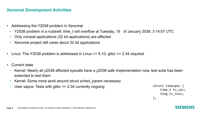#### **Xenomai Development Activities**

- Addressing the Y2038 problem in Xenomai
	- Y2038 problem in a nutshell: time\_t will overflow at Tuesday, 19 of January 2038, 3:14:07 UTC
	- Only compat applications (32 bit applications) are affected
	- Xenomai project still cares about 32 bit applications
- Linux: The Y2038 problem is addressed in Linux  $\ge$  = 5.10, glibc  $\ge$  = 2.34 required
- Current state
	- Kernel: Nearly all y2038 affected syscalls have a y2038 safe implementation now, test suite has been extended to test them
	- Kernel: Some more work around struct sched param necessary
	- User sapce: Tests with glibc  $\geq$  2.34 currently ongoing

```
struct timespec {
    time_t tv_sec;
    long tv_nsec;
};
```
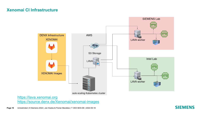#### **Xenomai CI Infrastructure**

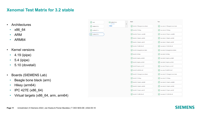#### **Xenomai Test Matrix for 3.2 stable**

 $\odot$  next

 $\odot$  stable/v3.0.x  $\odot$  stable/v3.1.x  $\odot$  stable/v3.2.x

- Architectures
	- x86\_64
	- ARM
	- ARM64
- Kernel versions
	- 4.19 (ipipe)
	- 5.4 (ipipe)
	- 5.10 (dovetail)
- Boards (SIEMENS Lab)
	- Beagle bone black (arm)
	- Hikey (arm64)
	- IPC 427E (x86\_64)
	- Virtual targets (x86\_64, arm, arm64)

| $\odot$ stable/v3.2.x<br>#11812 | <b>Build</b><br>$\overline{\phantom{a}}$ |                              | <b>Test</b>                                              |
|---------------------------------|------------------------------------------|------------------------------|----------------------------------------------------------|
| Child                           | $\left( \mathbf{v}\right)$               | build-4.19:beagle-bone-black | lava-test-4.19:beagle-bone-black<br>$(\checkmark)$       |
|                                 | $\blacktriangledown$                     | build-4.19:hikey             | lava-test-4.19:hikey<br>$(\checkmark)$                   |
|                                 | $\left( \mathbf{v}\right)$               | build-4.19:qemu-amd64        | lava-test-4.19:qemu-amd64<br>$(\checkmark)$              |
|                                 | $\left( \mathbf{v}\right)$               | build-4.19:qemu-arm64        | $(\checkmark)$<br>lava-test-4.19:qemu-arm64              |
|                                 | $(\checkmark)$                           | build-4.19:qemu-armhf        | lava-test-4.19:qemu-armhf<br>$(\checkmark)$              |
|                                 | $\left( \mathbf{v}\right)$               | build-4.19:x86-64-efi        | lava-test-4.19:x86-64-efi<br>$(\checkmark)$              |
|                                 | $\left( \mathbf{v}\right)$               | build-5.4:beagle-bone-black  | lava-test-5.4:beagle-bone-black<br>$(\checkmark)$        |
|                                 | $\left\vert \mathbf{v}\right\vert$       | build-5.4:hikey              | $\mathcal{L}$<br>lava-test-5.4:hikey                     |
|                                 | ᢦ                                        | build-5.4:qemu-amd64         | lava-test-5.4:qemu-amd64<br>$\sim$                       |
|                                 | $\left\vert \mathbf{v}\right\rangle$     | build-5.4:qemu-arm64         | lava-test-5.4:qemu-arm64<br>$\sim$                       |
|                                 | $\blacktriangledown$                     | build-5.4:qemu-armhf         | lava-test-5.4:qemu-armhf<br>$\left( \mathbf{v}\right)$   |
|                                 | $\left\vert \mathbf{v}\right\rangle$     | build-5.4:x86-64-efi         | lava-test-5.4:x86-64-efi<br>$\boldsymbol{\triangledown}$ |
|                                 | $\left( \mathbf{v}\right)$               | build-5.10:beagle-bone-black | lava-test-5.10:beagle-bone-black<br>$(\checkmark)$       |
|                                 | $\left( \mathbf{v}\right)$               | build-5.10:hikey             | lava-test-5.10:hikey<br>$(\checkmark)$                   |
|                                 | $\left( \mathbf{v}\right)$               | build-5.10:qemu-amd64        | lava-test-5.10:qemu-amd64<br>$\bullet$                   |
|                                 | $\left( \mathbf{v}\right)$               | build-5.10:gemu-arm64        | lava-test-5.10:qemu-arm64<br>$\sim$                      |
|                                 | $\left( \mathbf{v}\right)$               | build-5.10:qemu-armhf        | lava-test-5.10:qemu-armhf<br>$(\checkmark)$              |
|                                 | ✓                                        | build-5.10:x86-64-efi        | lava-test-5.10:x86-64-efi<br>$(\checkmark)$              |

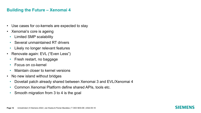#### **Building the Future – Xenomai 4**

- Use cases for co-kernels are expected to stay
- Xenomai's core is ageing
	- Limited SMP scalability
	- Several unmaintained RT drivers
	- Likely no longer relevant features
- Renovate again: EVL ("Even Less")
	- Fresh restart, no baggage
	- Focus on co-kernel
	- Maintain closer to kernel versions
- No new island without bridges
	- Dovetail patch already shared between Xenomai 3 and EVL/Xenomai 4
	- Common Xenomai Platform define shared APIs, tools etc.
	- Smooth migration from 3 to 4 is the goal

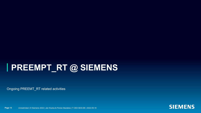### **PREEMPT\_RT @ SIEMENS**

Ongoing PREEMT\_RT related activities



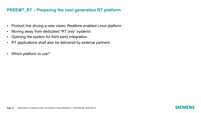#### **PREEMT\_RT – Preparing the next generation RT platform**

- Product line driving a new vision: Realtime enabled Linux platform
- Moving away from dedicated "RT only" systems
- Opening the system for third party integration
- RT applications shall also be delivered by external partners
- Which platform to use?

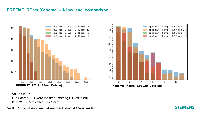#### **PREEMT\_RT vs. Xenomai – A low level comparison**



 $0.98$  max  $11$ cpul min 0 avg  $10<sup>7</sup>$ cpu2 min 0 avg  $0.01$  max  $6$ cpu3 min 0 avg  $0.12$  max  $7$  $10<sup>6</sup>$  $10<sup>5</sup>$  $10<sup>4</sup>$  $10<sup>3</sup>$  $10<sup>2</sup>$  $10^{1}$  $10^{0}$  ; 2 6 4 8 0 10

cpu0 min 0 avg

1.64 max 11

Values in µs CPU cores 2+3 were isolated, serving RT tasks only Hardware: SIEMENS IPC 427E

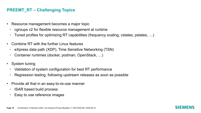#### **PREEMT\_RT – Challenging Topics**

- Resource management becomes a major topic
	- cgroups v2 for flexible resource management at runtime
	- Tuned profiles for optimizing RT capabilities (frequency scaling, cstates, pstates, ...)
- Combine RT with the further Linux features
	- eXpress data path (XDP), Time Sensitive Networking (TSN)
	- Container runtimes (docker, podman, OpenStack, …)
- System tuning
	- Validation of system configuration for best RT performance
	- Regression testing, following upstream releases as soon as possible
- Provide all that in an easy-to-re-use manner
	- ISAR based build process
	- Easy to use reference images

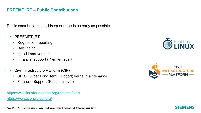#### **PREEMT\_RT – Public Contributions**

Public contributions to address our needs as early as possible

- PREEMPT RT
	- [Regression reporting](https://wiki.linuxfoundation.org/realtime/start)
	- [Debugging](https://www.cip-project.org/)
	- tuned improvements
	- Financial support (Premier level)
- Civil Infrastructure Platform (CIP)
	- SLTS (Super Long Term Support) kernel maintenance
	- Financial Support (Platinum level)

https://wiki.linuxfoundation.org/realtime/start https://www.cip-project.org/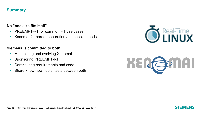#### **Summary**

#### **No "one size fits it all"**

- PREEMPT-RT for common RT use cases
- Xenomai for harder separation and special needs

#### **Siemens is committed to both**

- Maintaining and evolving Xenomai
- Sponsoring PREEMPT-RT
- Contributing requirements and code
- Share know-how, tools, tests between both